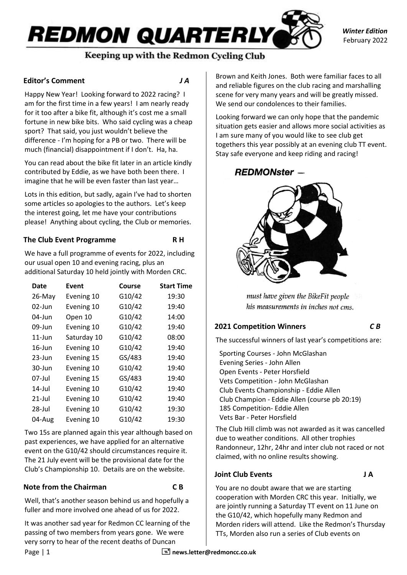# **REDMON QUARTERLY** Keeping up with the Redmon Cycling Club

*Winter Edition* February 2022

# **Editor's Comment** *J A*

Happy New Year! Looking forward to 2022 racing? I am for the first time in a few years! I am nearly ready for it too after a bike fit, although it's cost me a small fortune in new bike bits. Who said cycling was a cheap sport? That said, you just wouldn't believe the difference - I'm hoping for a PB or two. There will be much (financial) disappointment if I don't. Ha, ha.

You can read about the bike fit later in an article kindly contributed by Eddie, as we have both been there. I imagine that he will be even faster than last year…

Lots in this edition, but sadly, again I've had to shorten some articles so apologies to the authors. Let's keep the interest going, let me have your contributions please! Anything about cycling, the Club or memories.

# **The Club Event Programme R H**

We have a full programme of events for 2022, including our usual open 10 and evening racing, plus an additional Saturday 10 held jointly with Morden CRC.

| Date      | Event       | Course | <b>Start Time</b> |
|-----------|-------------|--------|-------------------|
| $26$ -May | Evening 10  | G10/42 | 19:30             |
| 02-Jun    | Evening 10  | G10/42 | 19:40             |
| $04$ -Jun | Open 10     | G10/42 | 14:00             |
| 09-Jun    | Evening 10  | G10/42 | 19:40             |
| $11$ -Jun | Saturday 10 | G10/42 | 08:00             |
| $16$ -Jun | Evening 10  | G10/42 | 19:40             |
| $23$ -Jun | Evening 15  | GS/483 | 19:40             |
| 30-Jun    | Evening 10  | G10/42 | 19:40             |
| 07-Jul    | Evening 15  | GS/483 | 19:40             |
| 14-Jul    | Evening 10  | G10/42 | 19:40             |
| $21$ -Jul | Evening 10  | G10/42 | 19:40             |
| 28-Jul    | Evening 10  | G10/42 | 19:30             |
| 04-Aug    | Evening 10  | G10/42 | 19:30             |

Two 15s are planned again this year although based on past experiences, we have applied for an alternative event on the G10/42 should circumstances require it. The 21 July event will be the provisional date for the Club's Championship 10. Details are on the website.

# **Note from the Chairman C B**

Well, that's another season behind us and hopefully a fuller and more involved one ahead of us for 2022.

It was another sad year for Redmon CC learning of the passing of two members from years gone. We were very sorry to hear of the recent deaths of Duncan

Brown and Keith Jones. Both were familiar faces to all and reliable figures on the club racing and marshalling scene for very many years and will be greatly missed. We send our condolences to their families.

Looking forward we can only hope that the pandemic situation gets easier and allows more social activities as I am sure many of you would like to see club get togethers this year possibly at an evening club TT event. Stay safe everyone and keep riding and racing!

# **REDMONster -**



must have given the BikeFit people his measurements in inches not cms.

# **2021 Competition Winners** *C B*

The successful winners of last year's competitions are:

Sporting Courses - John McGlashan Evening Series - John Allen Open Events - Peter Horsfield Vets Competition - John McGlashan Club Events Championship - Eddie Allen Club Champion - Eddie Allen (course pb 20:19) 185 Competition- Eddie Allen Vets Bar - Peter Horsfield

The Club Hill climb was not awarded as it was cancelled due to weather conditions. All other trophies Randonneur, 12hr, 24hr and inter club not raced or not claimed, with no online results showing.

# **Joint Club Events J A**

You are no doubt aware that we are starting cooperation with Morden CRC this year. Initially, we are jointly running a Saturday TT event on 11 June on the G10/42, which hopefully many Redmon and Morden riders will attend. Like the Redmon's Thursday TTs, Morden also run a series of Club events on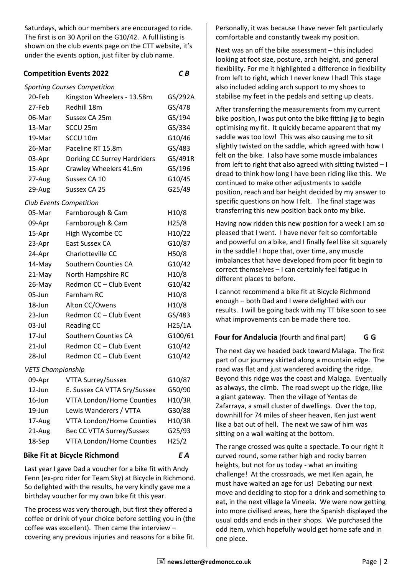Saturdays, which our members are encouraged to ride. The first is on 30 April on the G10/42. A full listing is shown on the club events page on the CTT website, it's under the events option, just filter by club name.

## **Competition Events 2022** *C B*

#### *Sporting Courses Competition*

| 20-Feb                   | Kingston Wheelers - 13.58m       | GS/292A |
|--------------------------|----------------------------------|---------|
| 27-Feb                   | Redhill 18m                      | GS/478  |
| 06-Mar                   | Sussex CA 25m                    | GS/194  |
| 13-Mar                   | SCCU <sub>25m</sub>              | GS/334  |
| 19-Mar                   | SCCU 10m                         | G10/46  |
| 26-Mar                   | Paceline RT 15.8m                | GS/483  |
| 03-Apr                   | Dorking CC Surrey Hardriders     | GS/491R |
| 15-Apr                   | Crawley Wheelers 41.6m           | GS/196  |
| 27-Aug                   | Sussex CA 10                     | G10/45  |
| 29-Aug                   | Sussex CA 25                     | G25/49  |
|                          | <b>Club Events Competition</b>   |         |
| 05-Mar                   | Farnborough & Cam                | H10/8   |
| 09-Apr                   | Farnborough & Cam                | H25/8   |
| 15-Apr                   | High Wycombe CC                  | H10/22  |
| 23-Apr                   | East Sussex CA                   | G10/87  |
| 24-Apr                   | Charlotteville CC                | H50/8   |
| 14-May                   | Southern Counties CA             | G10/42  |
| 21-May                   | North Hampshire RC               | H10/8   |
| 26-May                   | Redmon CC - Club Event           | G10/42  |
| 05-Jun                   | Farnham RC                       | H10/8   |
| 18-Jun                   | Alton CC/Owens                   | H10/8   |
| 23-Jun                   | Redmon CC - Club Event           | GS/483  |
| 03-Jul                   | <b>Reading CC</b>                | H25/1A  |
| 17-Jul                   | Southern Counties CA             | G100/61 |
| $21$ -Jul                | Redmon CC - Club Event           | G10/42  |
| 28-Jul                   | Redmon CC - Club Event           | G10/42  |
| <b>VETS Championship</b> |                                  |         |
| 09-Apr                   | <b>VTTA Surrey/Sussex</b>        | G10/87  |
| $12$ -Jun                | E. Sussex CA VTTA Sry/Sussex     | G50/90  |
| $16$ -Jun                | <b>VTTA London/Home Counties</b> | H10/3R  |
| 19-Jun                   | Lewis Wanderers / VTTA           | G30/88  |

# 18-Sep VTTA London/Home Counties H25/2

17-Aug VTTA London/Home Counties H10/3R 21-Aug Bec CC VTTA Surrey/Sussex G25/93

### **Bike Fit at Bicycle Richmond** *E A*

Last year I gave Dad a voucher for a bike fit with Andy Fenn (ex-pro rider for Team Sky) at Bicycle in Richmond. So delighted with the results, he very kindly gave me a birthday voucher for my own bike fit this year.

The process was very thorough, but first they offered a coffee or drink of your choice before settling you in (the coffee was excellent). Then came the interview – covering any previous injuries and reasons for a bike fit.

Personally, it was because I have never felt particularly comfortable and constantly tweak my position.

Next was an off the bike assessment – this included looking at foot size, posture, arch height, and general flexibility. For me it highlighted a difference in flexibility from left to right, which I never knew I had! This stage also included adding arch support to my shoes to stabilise my feet in the pedals and setting up cleats.

After transferring the measurements from my current bike position, I was put onto the bike fitting jig to begin optimising my fit. It quickly became apparent that my saddle was too low! This was also causing me to sit slightly twisted on the saddle, which agreed with how I felt on the bike. I also have some muscle imbalances from left to right that also agreed with sitting twisted – I dread to think how long I have been riding like this. We continued to make other adjustments to saddle position, reach and bar height decided by my answer to specific questions on how I felt. The final stage was transferring this new position back onto my bike.

Having now ridden this new position for a week I am so pleased that I went. I have never felt so comfortable and powerful on a bike, and I finally feel like sit squarely in the saddle! I hope that, over time, any muscle imbalances that have developed from poor fit begin to correct themselves – I can certainly feel fatigue in different places to before.

I cannot recommend a bike fit at Bicycle Richmond enough – both Dad and I were delighted with our results. I will be going back with my TT bike soon to see what improvements can be made there too.

# **Four for Andalucia** (fourth and final part) **G G**

The next day we headed back toward Malaga. The first part of our journey skirted along a mountain edge. The road was flat and just wandered avoiding the ridge. Beyond this ridge was the coast and Malaga. Eventually as always, the climb. The road swept up the ridge, like a giant gateway. Then the village of Yentas de Zafarraya, a small cluster of dwellings. Over the top, downhill for 74 miles of sheer heaven, Ken just went like a bat out of hell. The next we saw of him was sitting on a wall waiting at the bottom.

The range crossed was quite a spectacle. To our right it curved round, some rather high and rocky barren heights, but not for us today - what an inviting challenge! At the crossroads, we met Ken again, he must have waited an age for us! Debating our next move and deciding to stop for a drink and something to eat, in the next village la Vineela. We were now getting into more civilised areas, here the Spanish displayed the usual odds and ends in their shops. We purchased the odd item, which hopefully would get home safe and in one piece.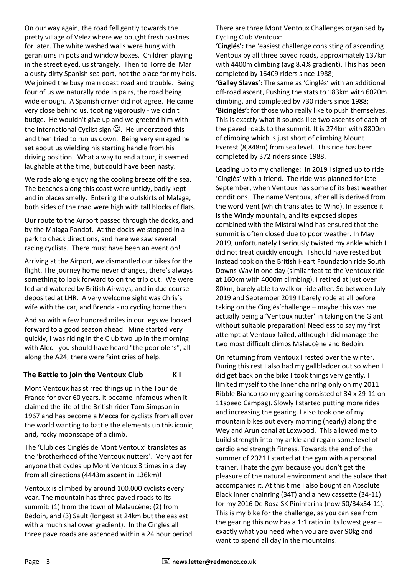On our way again, the road fell gently towards the pretty village of Velez where we bought fresh pastries for later. The white washed walls were hung with geraniums in pots and window boxes. Children playing in the street eyed, us strangely. Then to Torre del Mar a dusty dirty Spanish sea port, not the place for my hols. We joined the busy main coast road and trouble. Being four of us we naturally rode in pairs, the road being wide enough. A Spanish driver did not agree. He came very close behind us, tooting vigorously - we didn't budge. He wouldn't give up and we greeted him with the International Cyclist sign  $\mathbb{G}$ . He understood this and then tried to run us down. Being very enraged he set about us wielding his starting handle from his driving position. What a way to end a tour, it seemed laughable at the time, but could have been nasty.

We rode along enjoying the cooling breeze off the sea. The beaches along this coast were untidy, badly kept and in places smelly. Entering the outskirts of Malaga, both sides of the road were high with tall blocks of flats.

Our route to the Airport passed through the docks, and by the Malaga Pandof. At the docks we stopped in a park to check directions, and here we saw several racing cyclists. There must have been an event on!

Arriving at the Airport, we dismantled our bikes for the flight. The journey home never changes, there's always something to look forward to on the trip out. We were fed and watered by British Airways, and in due course deposited at LHR. A very welcome sight was Chris's wife with the car, and Brenda - no cycling home then.

And so with a few hundred miles in our legs we looked forward to a good season ahead. Mine started very quickly, I was riding in the Club two up in the morning with Alec - you should have heard "the poor ole 's", all along the A24, there were faint cries of help.

# **The Battle to join the Ventoux Club K I**

Mont Ventoux has stirred things up in the Tour de France for over 60 years. It became infamous when it claimed the life of the British rider Tom Simpson in 1967 and has become a Mecca for cyclists from all over the world wanting to battle the elements up this iconic, arid, rocky moonscape of a climb.

The 'Club des Cinglés de Mont Ventoux' translates as the 'brotherhood of the Ventoux nutters'. Very apt for anyone that cycles up Mont Ventoux 3 times in a day from all directions (4443m ascent in 136km)!

Ventoux is climbed by around 100,000 cyclists every year. The mountain has three paved roads to its summit: (1) from the town of Malaucène; (2) from Bédoin, and (3) Sault (longest at 24km but the easiest with a much shallower gradient). In the Cinglés all three pave roads are ascended within a 24 hour period. There are three Mont Ventoux Challenges organised by Cycling Club Ventoux:

**'Cinglés':** the 'easiest challenge consisting of ascending Ventoux by all three paved roads, approximately 137km with 4400m climbing (avg 8.4% gradient). This has been completed by 16409 riders since 1988;

**'Galley Slaves':** The same as 'Cinglés' with an additional off-road ascent, Pushing the stats to 183km with 6020m climbing, and completed by 730 riders since 1988; **'Bicinglés':** for those who really like to push themselves. This is exactly what it sounds like two ascents of each of the paved roads to the summit. It is 274km with 8800m of climbing which is just short of climbing Mount Everest (8,848m) from sea level. This ride has been completed by 372 riders since 1988.

Leading up to my challenge: In 2019 I signed up to ride 'Cinglés' with a friend. The ride was planned for late September, when Ventoux has some of its best weather conditions. The name Ventoux, after all is derived from the word Vent (which translates to Wind). In essence it is the Windy mountain, and its exposed slopes combined with the Mistral wind has ensured that the summit is often closed due to poor weather. In May 2019, unfortunately I seriously twisted my ankle which I did not treat quickly enough. I should have rested but instead took on the British Heart Foundation ride South Downs Way in one day (similar feat to the Ventoux ride at 160km with 4000m climbing). I retired at just over 80km, barely able to walk or ride after. So between July 2019 and September 2019 I barely rode at all before taking on the Cinglés'challenge – maybe this was me actually being a 'Ventoux nutter' in taking on the Giant without suitable preparation! Needless to say my first attempt at Ventoux failed, although I did manage the two most difficult climbs Malaucène and Bédoin.

On returning from Ventoux I rested over the winter. During this rest I also had my gallbladder out so when I did get back on the bike I took things very gently. I limited myself to the inner chainring only on my 2011 Ribble Bianco (so my gearing consisted of 34 x 29-11 on 11speed Campag). Slowly I started putting more rides and increasing the gearing. I also took one of my mountain bikes out every morning (nearly) along the Wey and Arun canal at Loxwood. This allowed me to build strength into my ankle and regain some level of cardio and strength fitness. Towards the end of the summer of 2021 I started at the gym with a personal trainer. I hate the gym because you don't get the pleasure of the natural environment and the solace that accompanies it. At this time I also bought an Absolute Black inner chainring (34T) and a new cassette (34-11) for my 2016 De Rosa SK Pininfarina (now 50/34x34-11). This is my bike for the challenge, as you can see from the gearing this now has a 1:1 ratio in its lowest gear – exactly what you need when you are over 90kg and want to spend all day in the mountains!